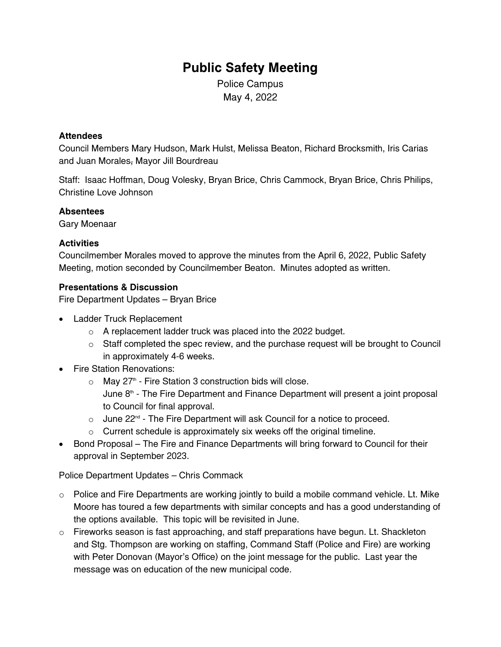# **Public Safety Meeting**

Police Campus May 4, 2022

#### **Attendees**

Council Members Mary Hudson, Mark Hulst, Melissa Beaton, Richard Brocksmith, Iris Carias and Juan Morales, Mayor Jill Bourdreau

Staff: Isaac Hoffman, Doug Volesky, Bryan Brice, Chris Cammock, Bryan Brice, Chris Philips, Christine Love Johnson

#### **Absentees**

Gary Moenaar

## **Activities**

Councilmember Morales moved to approve the minutes from the April 6, 2022, Public Safety Meeting, motion seconded by Councilmember Beaton. Minutes adopted as written.

#### **Presentations & Discussion**

Fire Department Updates – Bryan Brice

- Ladder Truck Replacement
	- o A replacement ladder truck was placed into the 2022 budget.
	- $\circ$  Staff completed the spec review, and the purchase request will be brought to Council in approximately 4-6 weeks.
- Fire Station Renovations:
	- $\circ$  May 27<sup>th</sup> Fire Station 3 construction bids will close. June  $8<sup>th</sup>$  - The Fire Department and Finance Department will present a joint proposal to Council for final approval.
	- $\circ$  June 22<sup>nd</sup> The Fire Department will ask Council for a notice to proceed.
	- o Current schedule is approximately six weeks off the original timeline.
- Bond Proposal The Fire and Finance Departments will bring forward to Council for their approval in September 2023.

Police Department Updates – Chris Commack

- o Police and Fire Departments are working jointly to build a mobile command vehicle. Lt. Mike Moore has toured a few departments with similar concepts and has a good understanding of the options available. This topic will be revisited in June.
- $\circ$  Fireworks season is fast approaching, and staff preparations have begun. Lt. Shackleton and Stg. Thompson are working on staffing, Command Staff (Police and Fire) are working with Peter Donovan (Mayor's Office) on the joint message for the public. Last year the message was on education of the new municipal code.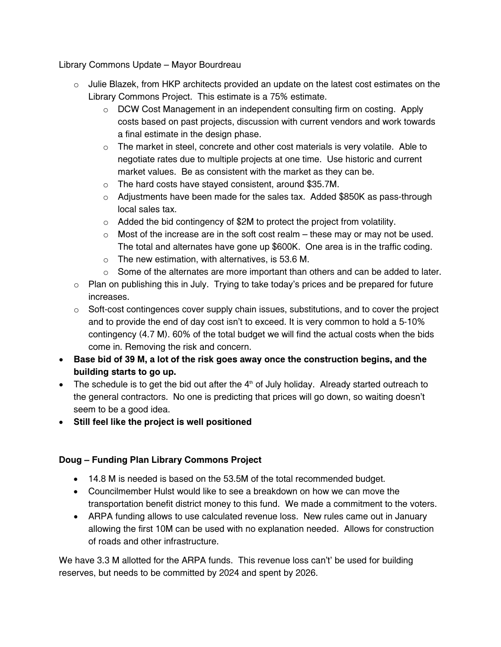Library Commons Update – Mayor Bourdreau

- $\circ$  Julie Blazek, from HKP architects provided an update on the latest cost estimates on the Library Commons Project. This estimate is a 75% estimate.
	- $\circ$  DCW Cost Management in an independent consulting firm on costing. Apply costs based on past projects, discussion with current vendors and work towards a final estimate in the design phase.
	- $\circ$  The market in steel, concrete and other cost materials is very volatile. Able to negotiate rates due to multiple projects at one time. Use historic and current market values. Be as consistent with the market as they can be.
	- o The hard costs have stayed consistent, around \$35.7M.
	- $\circ$  Adjustments have been made for the sales tax. Added \$850K as pass-through local sales tax.
	- o Added the bid contingency of \$2M to protect the project from volatility.
	- $\circ$  Most of the increase are in the soft cost realm these may or may not be used. The total and alternates have gone up \$600K. One area is in the traffic coding.
	- $\circ$  The new estimation, with alternatives, is 53.6 M.
	- $\circ$  Some of the alternates are more important than others and can be added to later.
- $\circ$  Plan on publishing this in July. Trying to take today's prices and be prepared for future increases.
- o Soft-cost contingences cover supply chain issues, substitutions, and to cover the project and to provide the end of day cost isn't to exceed. It is very common to hold a 5-10% contingency (4.7 M). 60% of the total budget we will find the actual costs when the bids come in. Removing the risk and concern.
- **Base bid of 39 M, a lot of the risk goes away once the construction begins, and the building starts to go up.**
- The schedule is to get the bid out after the  $4<sup>th</sup>$  of July holiday. Already started outreach to the general contractors. No one is predicting that prices will go down, so waiting doesn't seem to be a good idea.
- **Still feel like the project is well positioned**

# **Doug – Funding Plan Library Commons Project**

- 14.8 M is needed is based on the 53.5M of the total recommended budget.
- Councilmember Hulst would like to see a breakdown on how we can move the transportation benefit district money to this fund. We made a commitment to the voters.
- ARPA funding allows to use calculated revenue loss. New rules came out in January allowing the first 10M can be used with no explanation needed. Allows for construction of roads and other infrastructure.

We have 3.3 M allotted for the ARPA funds. This revenue loss can't' be used for building reserves, but needs to be committed by 2024 and spent by 2026.